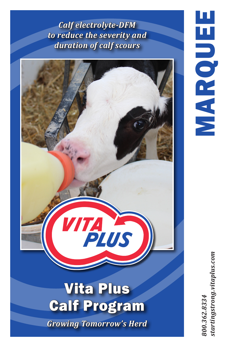*Calf electrolyte-DFM to reduce the severity and duration of calf scours*



startingstrong.vitaplus.com *800.362.8334 startingstrong.vitaplus.com*800.362.8334